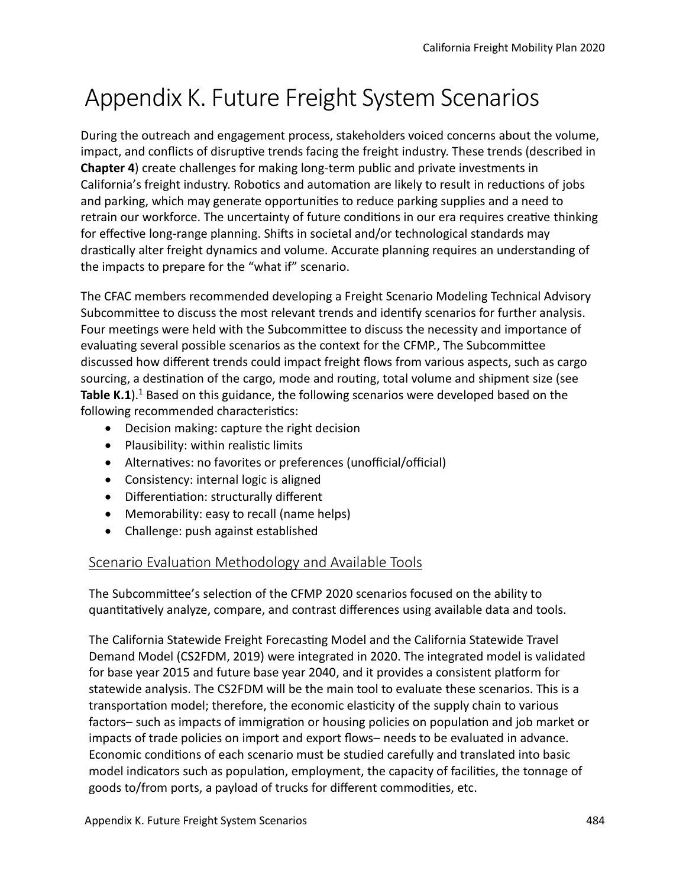# Appendix K. Future Freight System Scenarios

During the outreach and engagement process, stakeholders voiced concerns about the volume, impact, and conflicts of disruptive trends facing the freight industry. These trends (described in **Chapter 4**) create challenges for making long-term public and private investments in California's freight industry. Robotics and automation are likely to result in reductions of jobs and parking, which may generate opportunites to reduce parking supplies and a need to retrain our workforce. The uncertainty of future conditons in our era requires creatve thinking for effective long-range planning. Shifts in societal and/or technological standards may drastcally alter freight dynamics and volume. Accurate planning requires an understanding of the impacts to prepare for the "what if" scenario.

The CFAC members recommended developing a Freight Scenario Modeling Technical Advisory Subcommitee to discuss the most relevant trends and identfy scenarios for further analysis. Four meetngs were held with the Subcommitee to discuss the necessity and importance of evaluating several possible scenarios as the context for the CFMP., The Subcommittee discussed how diferent trends could impact freight fows from various aspects, such as cargo sourcing, a destination of the cargo, mode and routing, total volume and shipment size (see Table K.1).<sup>1</sup> Based on this guidance, the following scenarios were developed based on the following recommended characteristics:

- Decision making: capture the right decision
- Plausibility: within realistic limits
- Alternatives: no favorites or preferences (unofficial/official)
- Consistency: internal logic is aligned
- Differentiation: structurally different
- Memorability: easy to recall (name helps)
- Challenge: push against established

## Scenario Evaluation Methodology and Available Tools

The Subcommitee's selecton of the CFMP 2020 scenarios focused on the ability to quanttatvely analyze, compare, and contrast diferences using available data and tools.

The California Statewide Freight Forecasting Model and the California Statewide Travel Demand Model (CS2FDM, 2019) were integrated in 2020. The integrated model is validated for base year 2015 and future base year 2040, and it provides a consistent platorm for statewide analysis. The CS2FDM will be the main tool to evaluate these scenarios. This is a transportation model; therefore, the economic elasticity of the supply chain to various factors– such as impacts of immigration or housing policies on population and job market or impacts of trade policies on import and export fows– needs to be evaluated in advance. Economic conditons of each scenario must be studied carefully and translated into basic model indicators such as population, employment, the capacity of facilities, the tonnage of goods to/from ports, a payload of trucks for diferent commodites, etc.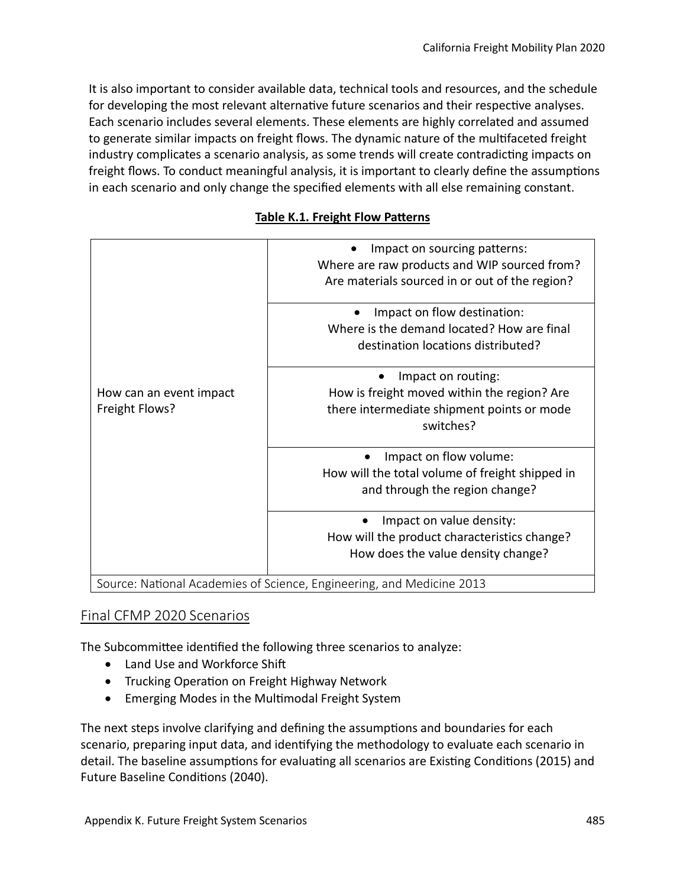It is also important to consider available data, technical tools and resources, and the schedule for developing the most relevant alternative future scenarios and their respective analyses. Each scenario includes several elements. These elements are highly correlated and assumed to generate similar impacts on freight flows. The dynamic nature of the multifaceted freight industry complicates a scenario analysis, as some trends will create contradicting impacts on freight fows. To conduct meaningful analysis, it is important to clearly defne the assumptons in each scenario and only change the specifed elements with all else remaining constant.

#### **Table K.1. Freight Flow Paterns**

|                                           | Impact on sourcing patterns:<br>Where are raw products and WIP sourced from?<br>Are materials sourced in or out of the region? |  |  |  |  |
|-------------------------------------------|--------------------------------------------------------------------------------------------------------------------------------|--|--|--|--|
|                                           | Impact on flow destination:<br>Where is the demand located? How are final<br>destination locations distributed?                |  |  |  |  |
| How can an event impact<br>Freight Flows? | Impact on routing:<br>How is freight moved within the region? Are<br>there intermediate shipment points or mode<br>switches?   |  |  |  |  |
|                                           | Impact on flow volume:<br>How will the total volume of freight shipped in<br>and through the region change?                    |  |  |  |  |
|                                           | Impact on value density:<br>How will the product characteristics change?<br>How does the value density change?                 |  |  |  |  |
|                                           | Source: National Academies of Science, Engineering, and Medicine 2013                                                          |  |  |  |  |

## Final CFMP 2020 Scenarios

The Subcommittee identified the following three scenarios to analyze:

- Land Use and Workforce Shift
- Trucking Operaton on Freight Highway Network
- Emerging Modes in the Multmodal Freight System

The next steps involve clarifying and defining the assumptions and boundaries for each scenario, preparing input data, and identfying the methodology to evaluate each scenario in detail. The baseline assumptions for evaluating all scenarios are Existing Conditions (2015) and Future Baseline Conditons (2040).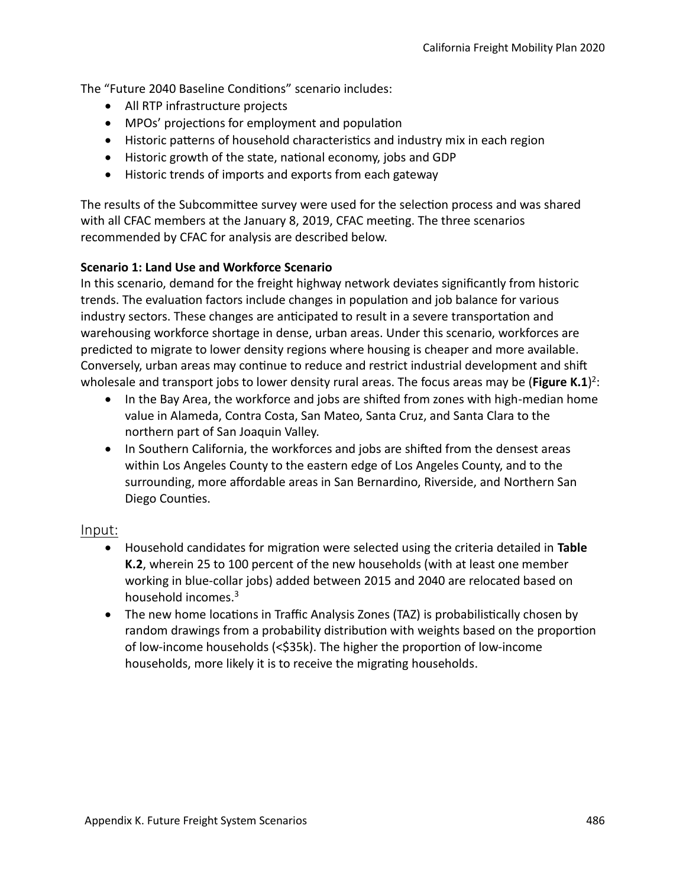The "Future 2040 Baseline Conditions" scenario includes:

- All RTP infrastructure projects
- MPOs' projections for employment and population
- Historic patterns of household characteristics and industry mix in each region
- Historic growth of the state, natonal economy, jobs and GDP
- Historic trends of imports and exports from each gateway

The results of the Subcommittee survey were used for the selection process and was shared with all CFAC members at the January 8, 2019, CFAC meeting. The three scenarios recommended by CFAC for analysis are described below.

## **Scenario 1: Land Use and Workforce Scenario**

In this scenario, demand for the freight highway network deviates signifcantly from historic trends. The evaluation factors include changes in population and job balance for various industry sectors. These changes are antcipated to result in a severe transportaton and warehousing workforce shortage in dense, urban areas. Under this scenario, workforces are predicted to migrate to lower density regions where housing is cheaper and more available. Conversely, urban areas may continue to reduce and restrict industrial development and shift wholesale and transport jobs to lower density rural areas. The focus areas may be (Figure K.1)<sup>2</sup>:

- In the Bay Area, the workforce and jobs are shifed from zones with high-median home value in Alameda, Contra Costa, San Mateo, Santa Cruz, and Santa Clara to the northern part of San Joaquin Valley.
- In Southern California, the workforces and jobs are shifed from the densest areas within Los Angeles County to the eastern edge of Los Angeles County, and to the surrounding, more afordable areas in San Bernardino, Riverside, and Northern San Diego Counties.

## Input:

- Household candidates for migraton were selected using the criteria detailed in **Table K.2**, wherein 25 to 100 percent of the new households (with at least one member working in blue-collar jobs) added between 2015 and 2040 are relocated based on household incomes.<sup>3</sup>
- The new home locations in Traffic Analysis Zones (TAZ) is probabilistically chosen by random drawings from a probability distribution with weights based on the proportion of low-income households (<\$35k). The higher the proportion of low-income households, more likely it is to receive the migrating households.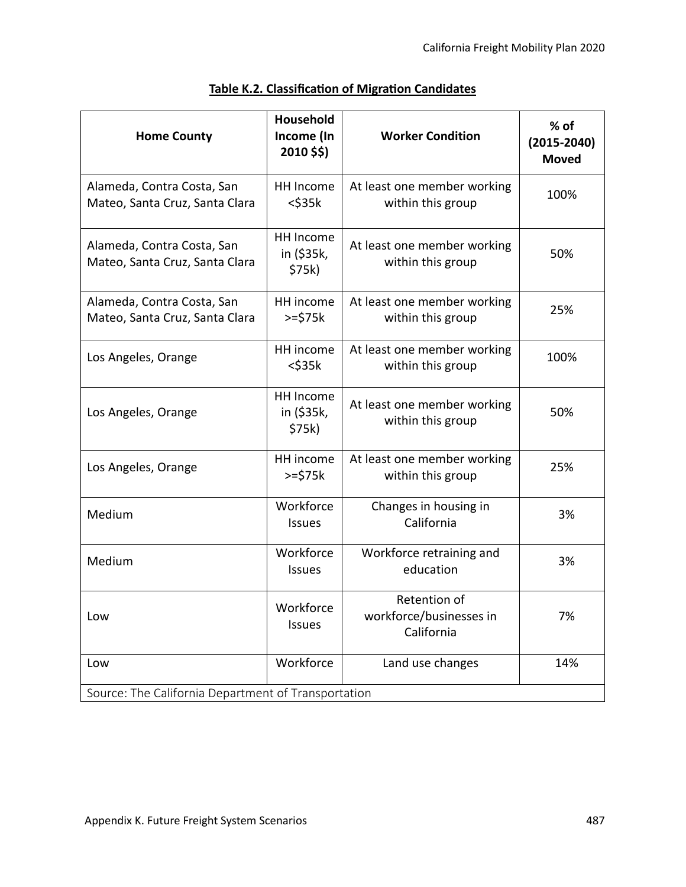| <b>Home County</b>                                           | Household<br>Income (In<br>2010 \$\$) | <b>Worker Condition</b>                               | % of<br>$(2015 - 2040)$<br><b>Moved</b> |  |  |  |  |  |
|--------------------------------------------------------------|---------------------------------------|-------------------------------------------------------|-----------------------------------------|--|--|--|--|--|
| Alameda, Contra Costa, San<br>Mateo, Santa Cruz, Santa Clara | HH Income<br>$<$ \$35 $k$             | At least one member working<br>within this group      | 100%                                    |  |  |  |  |  |
| Alameda, Contra Costa, San<br>Mateo, Santa Cruz, Santa Clara | HH Income<br>in (\$35k,<br>\$75k)     | At least one member working<br>within this group      | 50%                                     |  |  |  |  |  |
| Alameda, Contra Costa, San<br>Mateo, Santa Cruz, Santa Clara | HH income<br>$>=$ \$75 $k$            | At least one member working<br>within this group      | 25%                                     |  |  |  |  |  |
| Los Angeles, Orange                                          | HH income<br>$<$ \$35 $k$             | At least one member working<br>within this group      | 100%                                    |  |  |  |  |  |
| Los Angeles, Orange                                          | HH Income<br>in (\$35k,<br>\$75k)     | At least one member working<br>within this group      | 50%                                     |  |  |  |  |  |
| Los Angeles, Orange                                          | HH income<br>$>=$ \$75 $k$            | At least one member working<br>within this group      | 25%                                     |  |  |  |  |  |
| Medium                                                       | Workforce<br>Issues                   | Changes in housing in<br>California                   | 3%                                      |  |  |  |  |  |
| Medium                                                       | Workforce<br><b>Issues</b>            | Workforce retraining and<br>education                 | 3%                                      |  |  |  |  |  |
| Low                                                          | Workforce<br>Issues                   | Retention of<br>workforce/businesses in<br>California | 7%                                      |  |  |  |  |  |
| Low                                                          | Workforce                             | Land use changes                                      | 14%                                     |  |  |  |  |  |
| Source: The California Department of Transportation          |                                       |                                                       |                                         |  |  |  |  |  |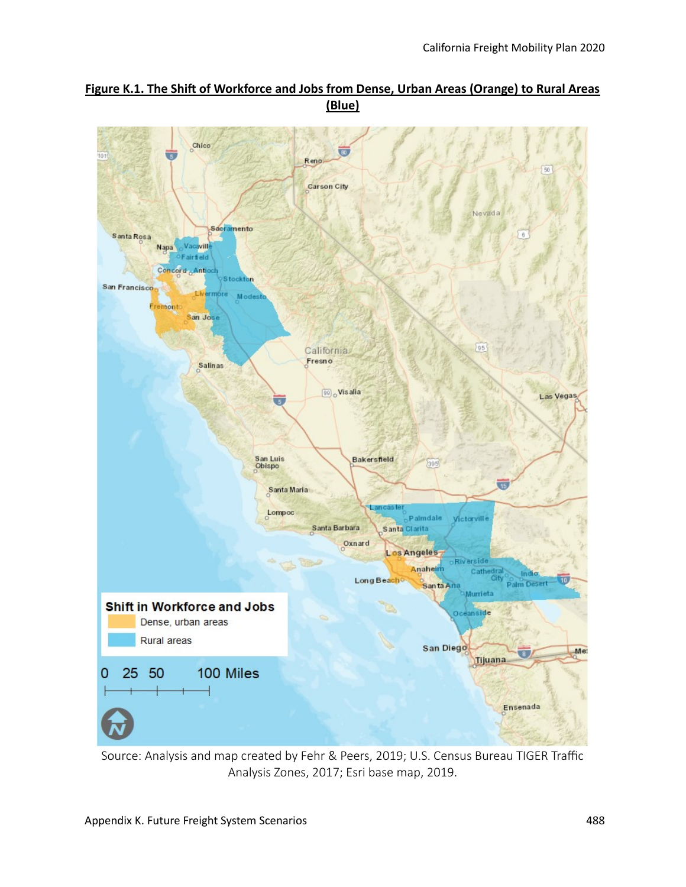

#### Figure K.1. The Shift of Workforce and Jobs from Dense, Urban Areas (Orange) to Rural Areas **(Blue)**

Source: Analysis and map created by Fehr & Peers, 2019; U.S. Census Bureau TIGER Traffic Analysis Zones, 2017; Esri base map, 2019.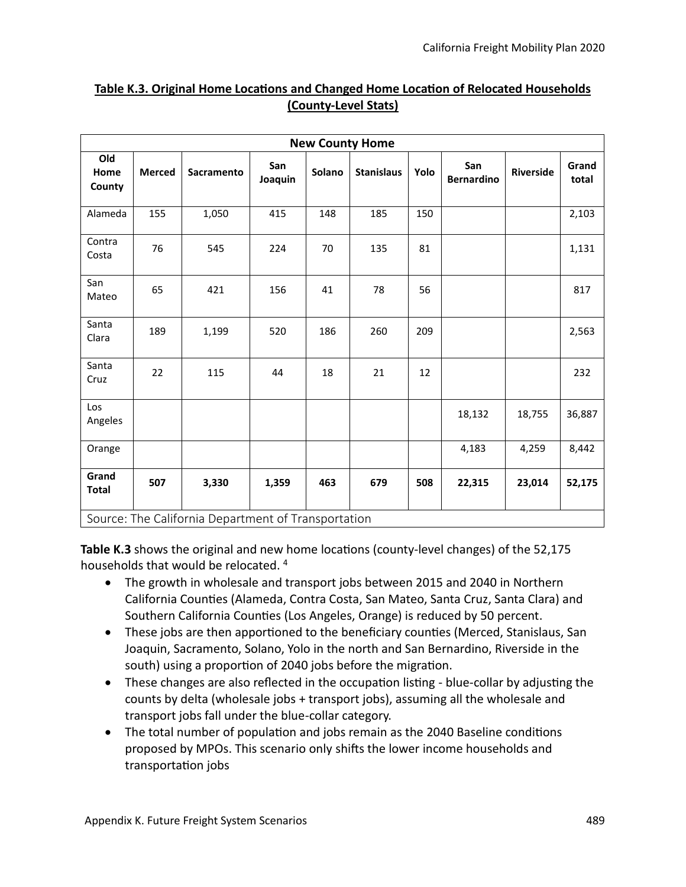| <b>New County Home</b>                              |               |            |                |        |                   |      |                          |                  |                |  |  |  |
|-----------------------------------------------------|---------------|------------|----------------|--------|-------------------|------|--------------------------|------------------|----------------|--|--|--|
| Old<br>Home<br>County                               | <b>Merced</b> | Sacramento | San<br>Joaquin | Solano | <b>Stanislaus</b> | Yolo | San<br><b>Bernardino</b> | <b>Riverside</b> | Grand<br>total |  |  |  |
| Alameda                                             | 155           | 1,050      | 415            | 148    | 185               | 150  |                          |                  | 2,103          |  |  |  |
| Contra<br>Costa                                     | 76            | 545        | 224            | 70     | 135               | 81   |                          |                  | 1,131          |  |  |  |
| San<br>Mateo                                        | 65            | 421        | 156            | 41     | 78                | 56   |                          |                  | 817            |  |  |  |
| Santa<br>Clara                                      | 189           | 1,199      | 520            | 186    | 260               | 209  |                          |                  | 2,563          |  |  |  |
| Santa<br>Cruz                                       | 22            | 115        | 44             | 18     | 21                | 12   |                          |                  | 232            |  |  |  |
| Los<br>Angeles                                      |               |            |                |        |                   |      | 18,132                   | 18,755           | 36,887         |  |  |  |
| Orange                                              |               |            |                |        |                   |      | 4,183                    | 4,259            | 8,442          |  |  |  |
| Grand<br><b>Total</b>                               | 507           | 3,330      | 1,359          | 463    | 679               | 508  | 22,315                   | 23,014           | 52,175         |  |  |  |
| Source: The California Department of Transportation |               |            |                |        |                   |      |                          |                  |                |  |  |  |

#### **Table K.3. Original Home Locations and Changed Home Location of Relocated Households (County-Level Stats)**

Source: The California Department of Transportation

**Table K.3** shows the original and new home locations (county-level changes) of the 52,175 households that would be relocated. <sup>4</sup>

- The growth in wholesale and transport jobs between 2015 and 2040 in Northern California Countes (Alameda, Contra Costa, San Mateo, Santa Cruz, Santa Clara) and Southern California Counties (Los Angeles, Orange) is reduced by 50 percent.
- These jobs are then apportioned to the beneficiary counties (Merced, Stanislaus, San Joaquin, Sacramento, Solano, Yolo in the north and San Bernardino, Riverside in the south) using a proportion of 2040 jobs before the migration.
- These changes are also reflected in the occupation listing blue-collar by adjusting the counts by delta (wholesale jobs + transport jobs), assuming all the wholesale and transport jobs fall under the blue-collar category.
- The total number of population and jobs remain as the 2040 Baseline conditions proposed by MPOs. This scenario only shifs the lower income households and transportation jobs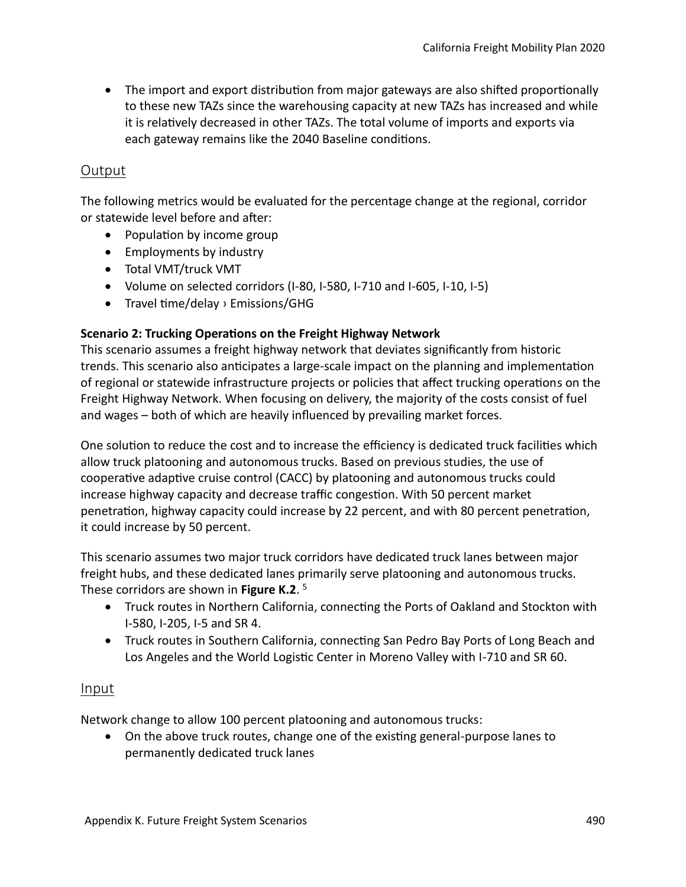• The import and export distribution from major gateways are also shifted proportionally to these new TAZs since the warehousing capacity at new TAZs has increased and while it is relatvely decreased in other TAZs. The total volume of imports and exports via each gateway remains like the 2040 Baseline conditons.

## Output

The following metrics would be evaluated for the percentage change at the regional, corridor or statewide level before and after:

- Population by income group
- Employments by industry
- Total VMT/truck VMT
- Volume on selected corridors (I-80, I-580, I-710 and I-605, I-10, I-5)
- Travel time/delay  $\rightarrow$  Emissions/GHG

#### **Scenario 2: Trucking Operations on the Freight Highway Network**

This scenario assumes a freight highway network that deviates signifcantly from historic trends. This scenario also anticipates a large-scale impact on the planning and implementation of regional or statewide infrastructure projects or policies that afect trucking operatons on the Freight Highway Network. When focusing on delivery, the majority of the costs consist of fuel and wages – both of which are heavily infuenced by prevailing market forces.

One solution to reduce the cost and to increase the efficiency is dedicated truck facilities which allow truck platooning and autonomous trucks. Based on previous studies, the use of cooperatve adaptve cruise control (CACC) by platooning and autonomous trucks could increase highway capacity and decrease traffic congestion. With 50 percent market penetration, highway capacity could increase by 22 percent, and with 80 percent penetration, it could increase by 50 percent.

This scenario assumes two major truck corridors have dedicated truck lanes between major freight hubs, and these dedicated lanes primarily serve platooning and autonomous trucks. These corridors are shown in **Figure K.2**. 5

- Truck routes in Northern California, connecting the Ports of Oakland and Stockton with I-580, I-205, I-5 and SR 4.
- Truck routes in Southern California, connecting San Pedro Bay Ports of Long Beach and Los Angeles and the World Logistic Center in Moreno Valley with I-710 and SR 60.

#### Input

Network change to allow 100 percent platooning and autonomous trucks:

• On the above truck routes, change one of the existing general-purpose lanes to permanently dedicated truck lanes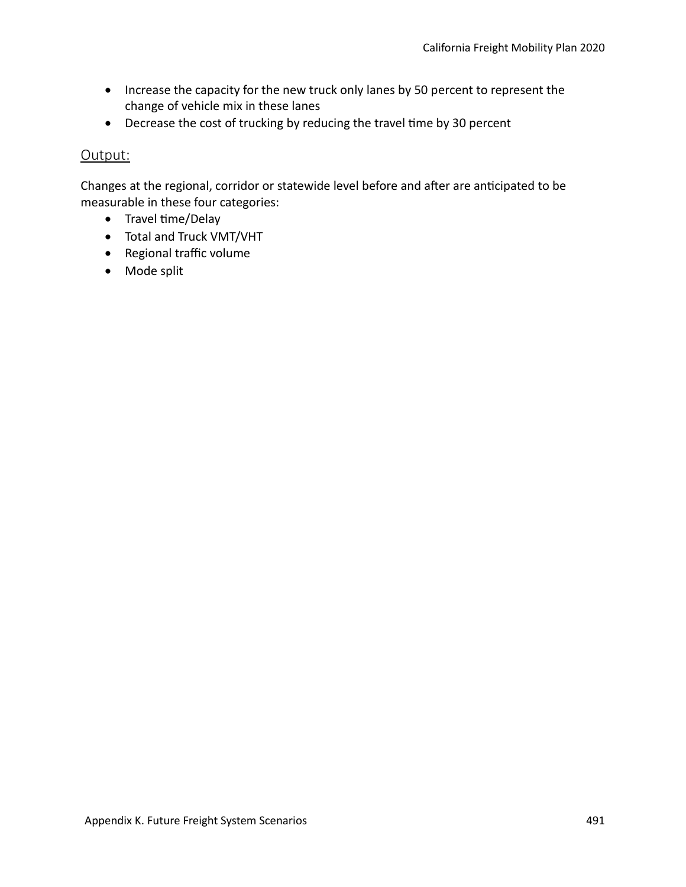- Increase the capacity for the new truck only lanes by 50 percent to represent the change of vehicle mix in these lanes
- Decrease the cost of trucking by reducing the travel time by 30 percent

## Output:

Changes at the regional, corridor or statewide level before and after are anticipated to be measurable in these four categories:

- Travel time/Delay
- Total and Truck VMT/VHT
- Regional traffic volume
- Mode split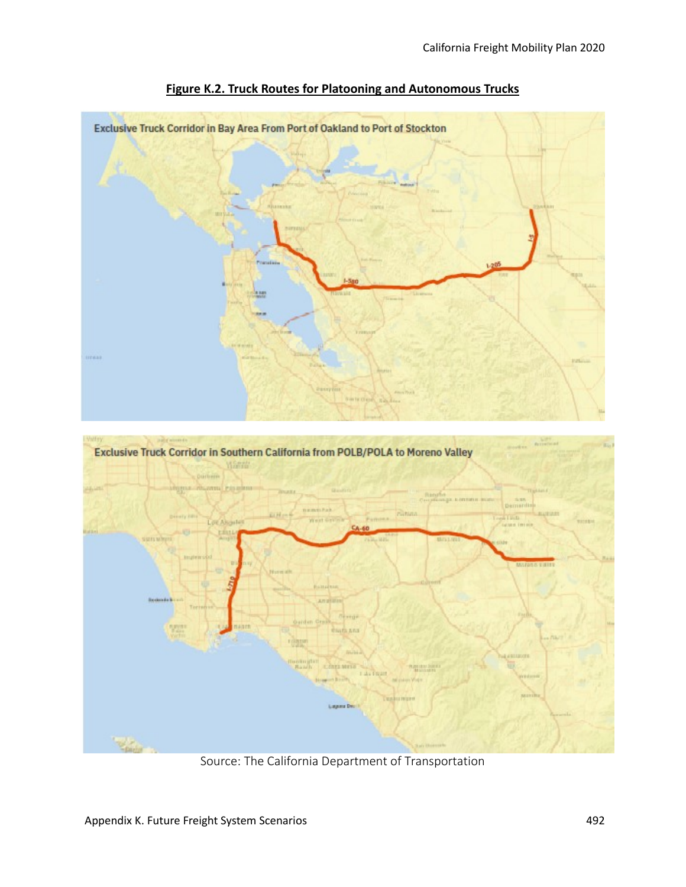

**Figure K.2. Truck Routes for Platooning and Autonomous Trucks**

Source: The California Department of Transportation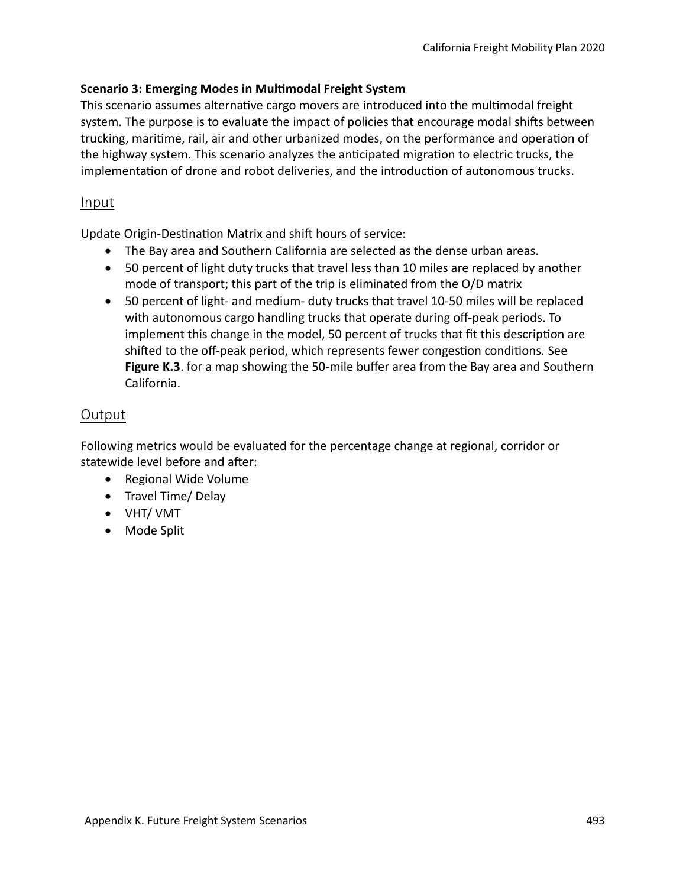#### **Scenario 3: Emerging Modes in Multmodal Freight System**

This scenario assumes alternatve cargo movers are introduced into the multmodal freight system. The purpose is to evaluate the impact of policies that encourage modal shifs between trucking, maritme, rail, air and other urbanized modes, on the performance and operaton of the highway system. This scenario analyzes the anticipated migration to electric trucks, the implementation of drone and robot deliveries, and the introduction of autonomous trucks.

## Input

Update Origin-Destination Matrix and shift hours of service:

- The Bay area and Southern California are selected as the dense urban areas.
- 50 percent of light duty trucks that travel less than 10 miles are replaced by another mode of transport; this part of the trip is eliminated from the O/D matrix
- 50 percent of light- and medium- duty trucks that travel 10-50 miles will be replaced with autonomous cargo handling trucks that operate during off-peak periods. To implement this change in the model, 50 percent of trucks that ft this descripton are shifted to the off-peak period, which represents fewer congestion conditions. See **Figure K.3**. for a map showing the 50-mile buffer area from the Bay area and Southern California.

## **Output**

Following metrics would be evaluated for the percentage change at regional, corridor or statewide level before and after:

- Regional Wide Volume
- Travel Time/ Delay
- VHT/ VMT
- Mode Split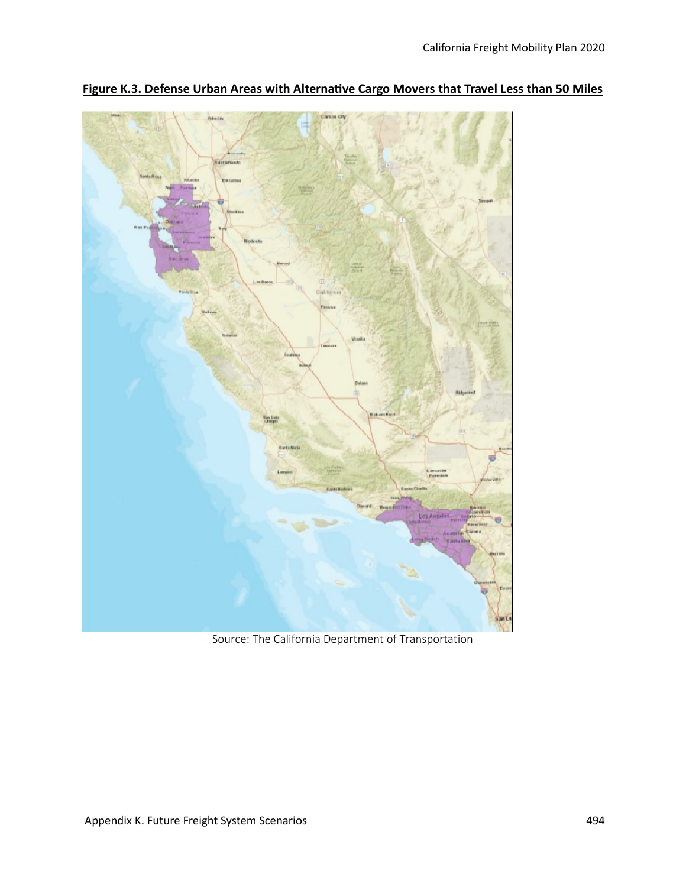

**Figure K.3. Defense Urban Areas with Alternatve Cargo Movers that Travel Less than 50 Miles**

Source: The California Department of Transportation